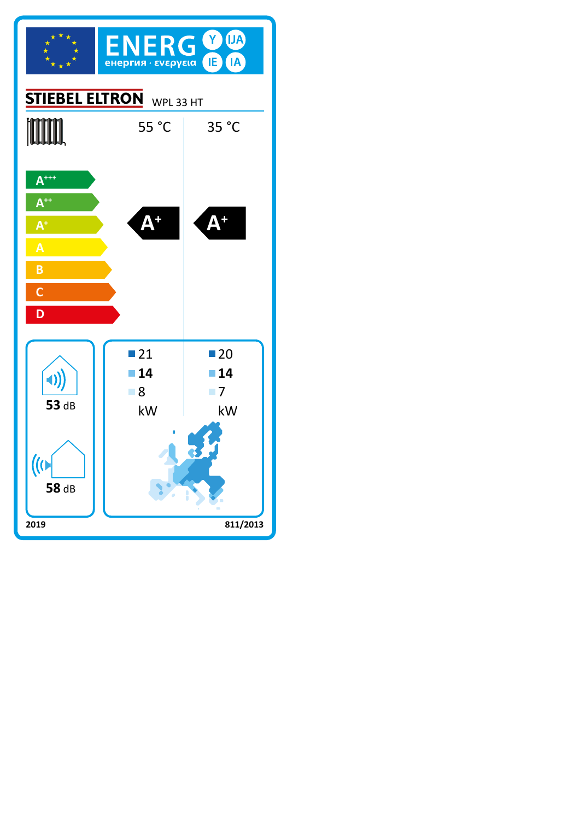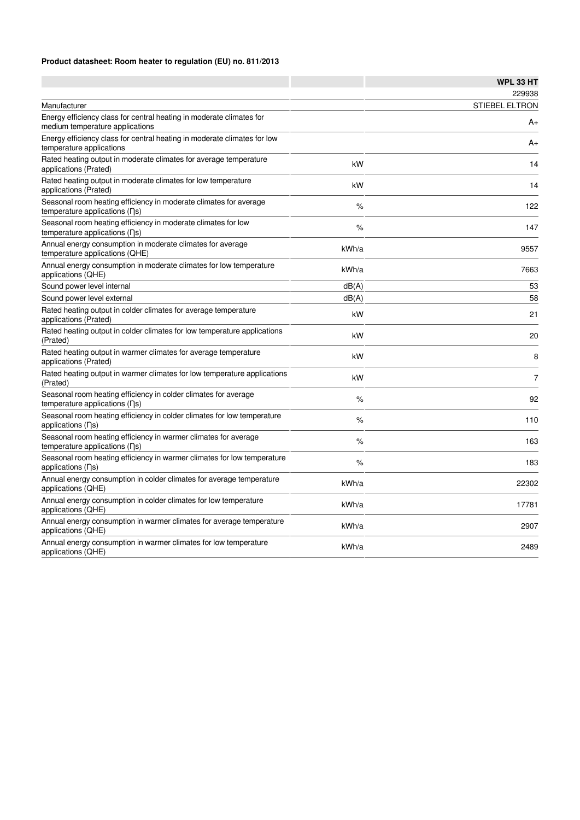### **Product datasheet: Room heater to regulation (EU) no. 811/2013**

|                                                                                                                       |       | WPL 33 HT             |
|-----------------------------------------------------------------------------------------------------------------------|-------|-----------------------|
|                                                                                                                       |       | 229938                |
| Manufacturer                                                                                                          |       | <b>STIEBEL ELTRON</b> |
| Energy efficiency class for central heating in moderate climates for<br>medium temperature applications               |       | A+                    |
| Energy efficiency class for central heating in moderate climates for low<br>temperature applications                  |       | A+                    |
| Rated heating output in moderate climates for average temperature<br>applications (Prated)                            | kW    | 14                    |
| Rated heating output in moderate climates for low temperature<br>applications (Prated)                                | kW    | 14                    |
| Seasonal room heating efficiency in moderate climates for average<br>temperature applications $( \nabla \mathbf{s} )$ | $\%$  | 122                   |
| Seasonal room heating efficiency in moderate climates for low<br>temperature applications (ns)                        | %     | 147                   |
| Annual energy consumption in moderate climates for average<br>temperature applications (QHE)                          | kWh/a | 9557                  |
| Annual energy consumption in moderate climates for low temperature<br>applications (QHE)                              | kWh/a | 7663                  |
| Sound power level internal                                                                                            | dB(A) | 53                    |
| Sound power level external                                                                                            | dB(A) | 58                    |
| Rated heating output in colder climates for average temperature<br>applications (Prated)                              | kW    | 21                    |
| Rated heating output in colder climates for low temperature applications<br>(Prated)                                  | kW    | 20                    |
| Rated heating output in warmer climates for average temperature<br>applications (Prated)                              | kW    | 8                     |
| Rated heating output in warmer climates for low temperature applications<br>(Prated)                                  | kW    | $\overline{7}$        |
| Seasonal room heating efficiency in colder climates for average<br>temperature applications $( \nabla \mathbf{s} )$   | %     | 92                    |
| Seasonal room heating efficiency in colder climates for low temperature<br>applications (ns)                          | $\%$  | 110                   |
| Seasonal room heating efficiency in warmer climates for average<br>temperature applications (η s)                     | $\%$  | 163                   |
| Seasonal room heating efficiency in warmer climates for low temperature<br>applications $( \nabla s )$                | $\%$  | 183                   |
| Annual energy consumption in colder climates for average temperature<br>applications (QHE)                            | kWh/a | 22302                 |
| Annual energy consumption in colder climates for low temperature<br>applications (QHE)                                | kWh/a | 17781                 |
| Annual energy consumption in warmer climates for average temperature<br>applications (QHE)                            | kWh/a | 2907                  |
| Annual energy consumption in warmer climates for low temperature<br>applications (QHE)                                | kWh/a | 2489                  |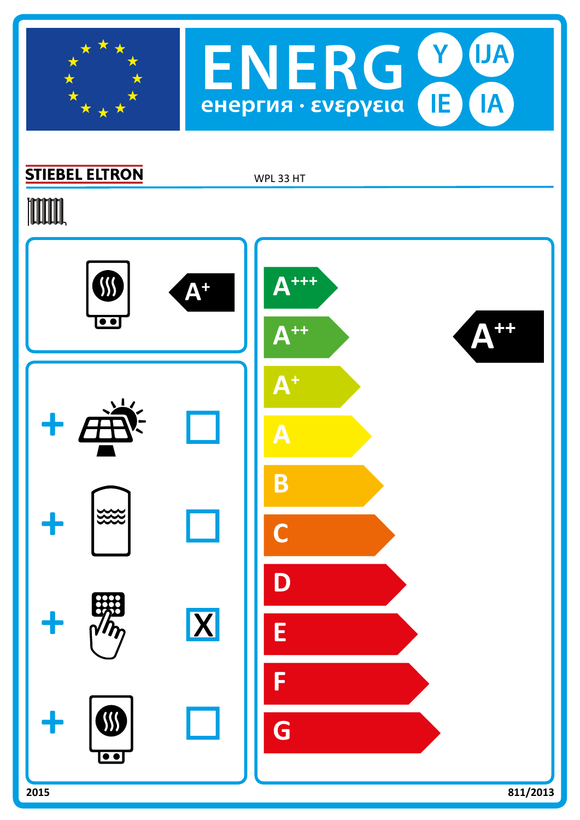



## **STIEBEL ELTRON**

WPL 33 HT

# **TOOTAL**

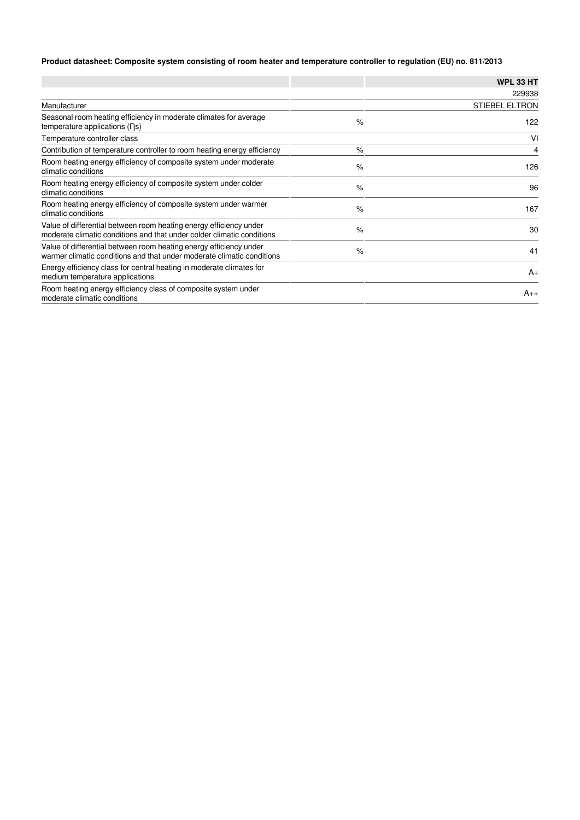### **Product datasheet: Composite system consisting of room heater and temperature controller to regulation (EU) no. 811/2013**

|                                                                                                                                              |      | <b>WPL 33 HT</b>      |
|----------------------------------------------------------------------------------------------------------------------------------------------|------|-----------------------|
|                                                                                                                                              |      | 229938                |
| Manufacturer                                                                                                                                 |      | <b>STIEBEL ELTRON</b> |
| Seasonal room heating efficiency in moderate climates for average<br>temperature applications $( \nabla \mathbf{s})$                         | $\%$ | 122                   |
| Temperature controller class                                                                                                                 |      | VI                    |
| Contribution of temperature controller to room heating energy efficiency                                                                     | $\%$ | 4                     |
| Room heating energy efficiency of composite system under moderate<br>climatic conditions                                                     | $\%$ | 126                   |
| Room heating energy efficiency of composite system under colder<br>climatic conditions                                                       | $\%$ | 96                    |
| Room heating energy efficiency of composite system under warmer<br>climatic conditions                                                       | $\%$ | 167                   |
| Value of differential between room heating energy efficiency under<br>moderate climatic conditions and that under colder climatic conditions | $\%$ | 30                    |
| Value of differential between room heating energy efficiency under<br>warmer climatic conditions and that under moderate climatic conditions | $\%$ | 41                    |
| Energy efficiency class for central heating in moderate climates for<br>medium temperature applications                                      |      | $A_{+}$               |
| Room heating energy efficiency class of composite system under<br>moderate climatic conditions                                               |      | $A_{++}$              |